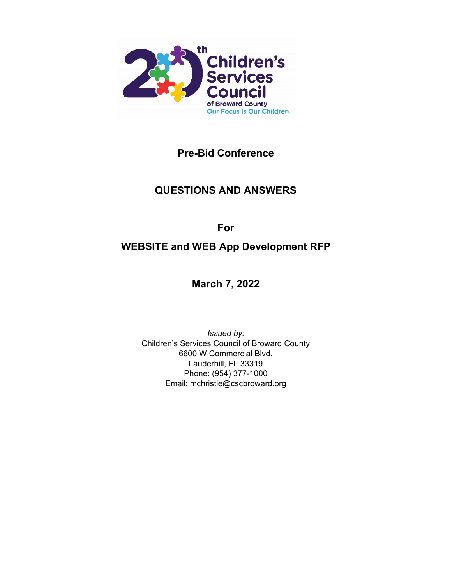

**Pre-Bid Conference**

# **QUESTIONS AND ANSWERS**

**For**

# **WEBSITE and WEB App Development RFP**

**March 7, 2022**

*Issued by:* Children's Services Council of Broward County 6600 W Commercial Blvd. Lauderhill, FL 33319 Phone: (954) 377-1000 Email: mchristie@cscbroward.org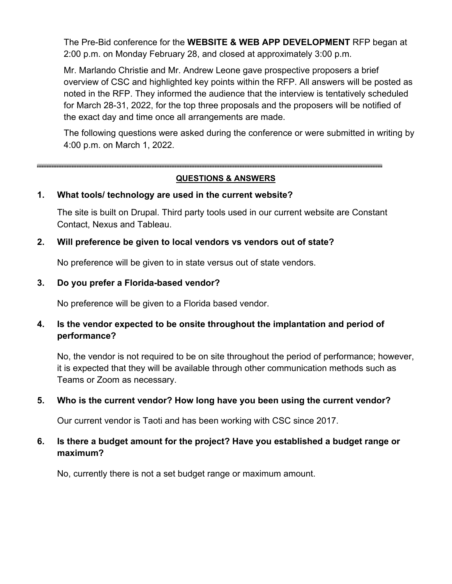The Pre-Bid conference for the **WEBSITE & WEB APP DEVELOPMENT** RFP began at 2:00 p.m. on Monday February 28, and closed at approximately 3:00 p.m.

Mr. Marlando Christie and Mr. Andrew Leone gave prospective proposers a brief overview of CSC and highlighted key points within the RFP. All answers will be posted as noted in the RFP. They informed the audience that the interview is tentatively scheduled for March 28-31, 2022, for the top three proposals and the proposers will be notified of the exact day and time once all arrangements are made.

The following questions were asked during the conference or were submitted in writing by 4:00 p.m. on March 1, 2022.

# **QUESTIONS & ANSWERS**

#### **1. What tools/ technology are used in the current website?**

The site is built on Drupal. Third party tools used in our current website are Constant Contact, Nexus and Tableau.

# **2. Will preference be given to local vendors vs vendors out of state?**

No preference will be given to in state versus out of state vendors.

# **3. Do you prefer a Florida-based vendor?**

No preference will be given to a Florida based vendor.

# **4. Is the vendor expected to be onsite throughout the implantation and period of performance?**

No, the vendor is not required to be on site throughout the period of performance; however, it is expected that they will be available through other communication methods such as Teams or Zoom as necessary.

# **5. Who is the current vendor? How long have you been using the current vendor?**

Our current vendor is Taoti and has been working with CSC since 2017.

# **6. Is there a budget amount for the project? Have you established a budget range or maximum?**

No, currently there is not a set budget range or maximum amount.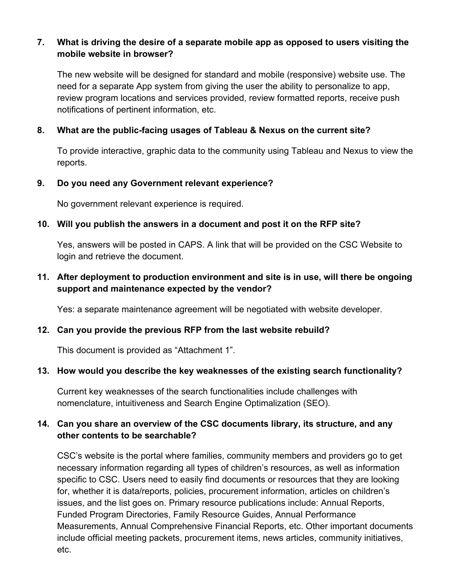# **7. What is driving the desire of a separate mobile app as opposed to users visiting the mobile website in browser?**

The new website will be designed for standard and mobile (responsive) website use. The need for a separate App system from giving the user the ability to personalize to app, review program locations and services provided, review formatted reports, receive push notifications of pertinent information, etc.

# **8. What are the public-facing usages of Tableau & Nexus on the current site?**

To provide interactive, graphic data to the community using Tableau and Nexus to view the reports.

# **9. Do you need any Government relevant experience?**

No government relevant experience is required.

# **10. Will you publish the answers in a document and post it on the RFP site?**

Yes, answers will be posted in CAPS. A link that will be provided on the CSC Website to login and retrieve the document.

# **11. After deployment to production environment and site is in use, will there be ongoing support and maintenance expected by the vendor?**

Yes: a separate maintenance agreement will be negotiated with website developer.

# **12. Can you provide the previous RFP from the last website rebuild?**

This document is provided as "Attachment 1".

# **13. How would you describe the key weaknesses of the existing search functionality?**

Current key weaknesses of the search functionalities include challenges with nomenclature, intuitiveness and Search Engine Optimalization (SEO).

# **14. Can you share an overview of the CSC documents library, its structure, and any other contents to be searchable?**

CSC's website is the portal where families, community members and providers go to get necessary information regarding all types of children's resources, as well as information specific to CSC. Users need to easily find documents or resources that they are looking for, whether it is data/reports, policies, procurement information, articles on children's issues, and the list goes on. Primary resource publications include: Annual Reports, Funded Program Directories, Family Resource Guides, Annual Performance Measurements, Annual Comprehensive Financial Reports, etc. Other important documents include official meeting packets, procurement items, news articles, community initiatives, etc.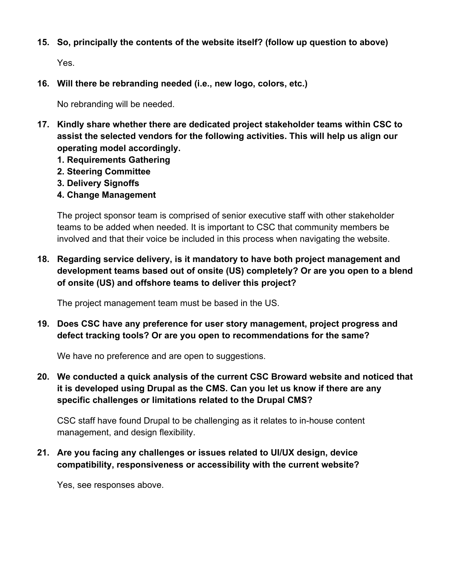**15. So, principally the contents of the website itself? (follow up question to above)**

Yes.

**16. Will there be rebranding needed (i.e., new logo, colors, etc.)**

No rebranding will be needed.

- **17. Kindly share whether there are dedicated project stakeholder teams within CSC to assist the selected vendors for the following activities. This will help us align our operating model accordingly.**
	- **1. Requirements Gathering**
	- **2. Steering Committee**
	- **3. Delivery Signoffs**
	- **4. Change Management**

The project sponsor team is comprised of senior executive staff with other stakeholder teams to be added when needed. It is important to CSC that community members be involved and that their voice be included in this process when navigating the website.

**18. Regarding service delivery, is it mandatory to have both project management and development teams based out of onsite (US) completely? Or are you open to a blend of onsite (US) and offshore teams to deliver this project?**

The project management team must be based in the US.

**19. Does CSC have any preference for user story management, project progress and defect tracking tools? Or are you open to recommendations for the same?**

We have no preference and are open to suggestions.

**20. We conducted a quick analysis of the current CSC Broward website and noticed that it is developed using Drupal as the CMS. Can you let us know if there are any specific challenges or limitations related to the Drupal CMS?**

CSC staff have found Drupal to be challenging as it relates to in-house content management, and design flexibility.

**21. Are you facing any challenges or issues related to UI/UX design, device compatibility, responsiveness or accessibility with the current website?**

Yes, see responses above.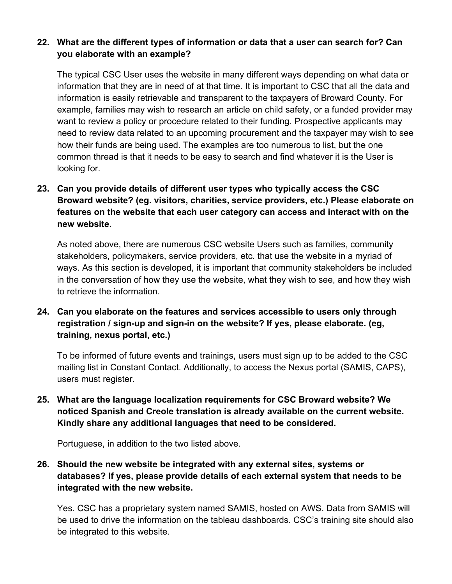# **22. What are the different types of information or data that a user can search for? Can you elaborate with an example?**

The typical CSC User uses the website in many different ways depending on what data or information that they are in need of at that time. It is important to CSC that all the data and information is easily retrievable and transparent to the taxpayers of Broward County. For example, families may wish to research an article on child safety, or a funded provider may want to review a policy or procedure related to their funding. Prospective applicants may need to review data related to an upcoming procurement and the taxpayer may wish to see how their funds are being used. The examples are too numerous to list, but the one common thread is that it needs to be easy to search and find whatever it is the User is looking for.

# **23. Can you provide details of different user types who typically access the CSC Broward website? (eg. visitors, charities, service providers, etc.) Please elaborate on features on the website that each user category can access and interact with on the new website.**

As noted above, there are numerous CSC website Users such as families, community stakeholders, policymakers, service providers, etc. that use the website in a myriad of ways. As this section is developed, it is important that community stakeholders be included in the conversation of how they use the website, what they wish to see, and how they wish to retrieve the information.

# **24. Can you elaborate on the features and services accessible to users only through registration / sign-up and sign-in on the website? If yes, please elaborate. (eg, training, nexus portal, etc.)**

To be informed of future events and trainings, users must sign up to be added to the CSC mailing list in Constant Contact. Additionally, to access the Nexus portal (SAMIS, CAPS), users must register.

**25. What are the language localization requirements for CSC Broward website? We noticed Spanish and Creole translation is already available on the current website. Kindly share any additional languages that need to be considered.**

Portuguese, in addition to the two listed above.

# **26. Should the new website be integrated with any external sites, systems or databases? If yes, please provide details of each external system that needs to be integrated with the new website.**

Yes. CSC has a proprietary system named SAMIS, hosted on AWS. Data from SAMIS will be used to drive the information on the tableau dashboards. CSC's training site should also be integrated to this website.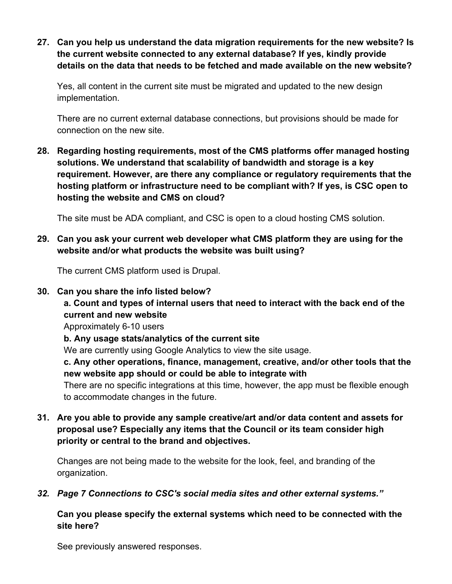**27. Can you help us understand the data migration requirements for the new website? Is the current website connected to any external database? If yes, kindly provide details on the data that needs to be fetched and made available on the new website?**

Yes, all content in the current site must be migrated and updated to the new design implementation.

There are no current external database connections, but provisions should be made for connection on the new site.

**28. Regarding hosting requirements, most of the CMS platforms offer managed hosting solutions. We understand that scalability of bandwidth and storage is a key requirement. However, are there any compliance or regulatory requirements that the hosting platform or infrastructure need to be compliant with? If yes, is CSC open to hosting the website and CMS on cloud?**

The site must be ADA compliant, and CSC is open to a cloud hosting CMS solution.

**29. Can you ask your current web developer what CMS platform they are using for the website and/or what products the website was built using?**

The current CMS platform used is Drupal.

**30. Can you share the info listed below?**

# **a. Count and types of internal users that need to interact with the back end of the current and new website**

Approximately 6-10 users

**b. Any usage stats/analytics of the current site**

We are currently using Google Analytics to view the site usage.

**c. Any other operations, finance, management, creative, and/or other tools that the new website app should or could be able to integrate with**

There are no specific integrations at this time, however, the app must be flexible enough to accommodate changes in the future.

**31. Are you able to provide any sample creative/art and/or data content and assets for proposal use? Especially any items that the Council or its team consider high priority or central to the brand and objectives.**

Changes are not being made to the website for the look, feel, and branding of the organization.

*32. Page 7 Connections to CSC's social media sites and other external systems."*

**Can you please specify the external systems which need to be connected with the site here?**

See previously answered responses.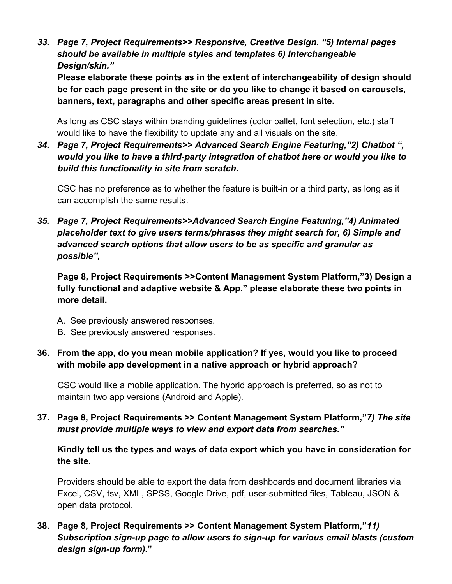*33. Page 7, Project Requirements>> Responsive, Creative Design. "5) Internal pages should be available in multiple styles and templates 6) Interchangeable Design/skin."*

**Please elaborate these points as in the extent of interchangeability of design should be for each page present in the site or do you like to change it based on carousels, banners, text, paragraphs and other specific areas present in site.**

As long as CSC stays within branding guidelines (color pallet, font selection, etc.) staff would like to have the flexibility to update any and all visuals on the site.

*34. Page 7, Project Requirements>> Advanced Search Engine Featuring,"2) Chatbot ", would you like to have a third-party integration of chatbot here or would you like to build this functionality in site from scratch.*

CSC has no preference as to whether the feature is built-in or a third party, as long as it can accomplish the same results.

*35. Page 7, Project Requirements>>Advanced Search Engine Featuring,"4) Animated placeholder text to give users terms/phrases they might search for, 6) Simple and advanced search options that allow users to be as specific and granular as possible",*

**Page 8, Project Requirements >>Content Management System Platform,"3) Design a fully functional and adaptive website & App." please elaborate these two points in more detail.**

- A. See previously answered responses.
- B. See previously answered responses.
- **36. From the app, do you mean mobile application? If yes, would you like to proceed with mobile app development in a native approach or hybrid approach?**

CSC would like a mobile application. The hybrid approach is preferred, so as not to maintain two app versions (Android and Apple).

**37. Page 8, Project Requirements >> Content Management System Platform,"***7) The site must provide multiple ways to view and export data from searches."*

**Kindly tell us the types and ways of data export which you have in consideration for the site.**

Providers should be able to export the data from dashboards and document libraries via Excel, CSV, tsv, XML, SPSS, Google Drive, pdf, user-submitted files, Tableau, JSON & open data protocol.

**38. Page 8, Project Requirements >> Content Management System Platform,"***11) Subscription sign-up page to allow users to sign-up for various email blasts (custom design sign-up form).***"**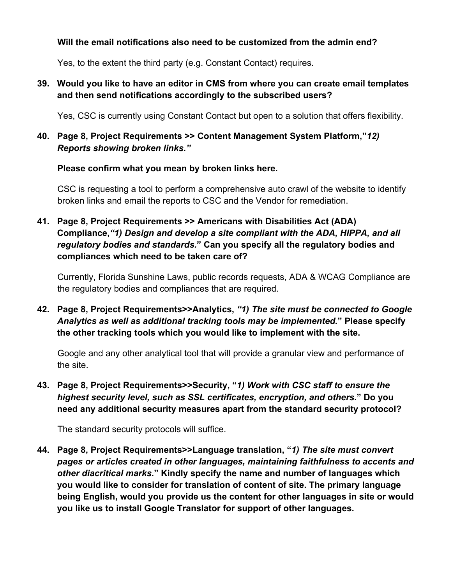# **Will the email notifications also need to be customized from the admin end?**

Yes, to the extent the third party (e.g. Constant Contact) requires.

**39. Would you like to have an editor in CMS from where you can create email templates and then send notifications accordingly to the subscribed users?**

Yes, CSC is currently using Constant Contact but open to a solution that offers flexibility.

**40. Page 8, Project Requirements >> Content Management System Platform,"***12) Reports showing broken links."*

# **Please confirm what you mean by broken links here.**

CSC is requesting a tool to perform a comprehensive auto crawl of the website to identify broken links and email the reports to CSC and the Vendor for remediation.

**41. Page 8, Project Requirements >> Americans with Disabilities Act (ADA) Compliance,***"1) Design and develop a site compliant with the ADA, HIPPA, and all regulatory bodies and standards.***" Can you specify all the regulatory bodies and compliances which need to be taken care of?**

Currently, Florida Sunshine Laws, public records requests, ADA & WCAG Compliance are the regulatory bodies and compliances that are required.

**42. Page 8, Project Requirements>>Analytics,** *"1) The site must be connected to Google Analytics as well as additional tracking tools may be implemented.***" Please specify the other tracking tools which you would like to implement with the site.**

Google and any other analytical tool that will provide a granular view and performance of the site.

**43. Page 8, Project Requirements>>Security, "***1) Work with CSC staff to ensure the highest security level, such as SSL certificates, encryption, and others.***" Do you need any additional security measures apart from the standard security protocol?**

The standard security protocols will suffice.

**44. Page 8, Project Requirements>>Language translation, "***1) The site must convert pages or articles created in other languages, maintaining faithfulness to accents and other diacritical marks.***" Kindly specify the name and number of languages which you would like to consider for translation of content of site. The primary language being English, would you provide us the content for other languages in site or would you like us to install Google Translator for support of other languages.**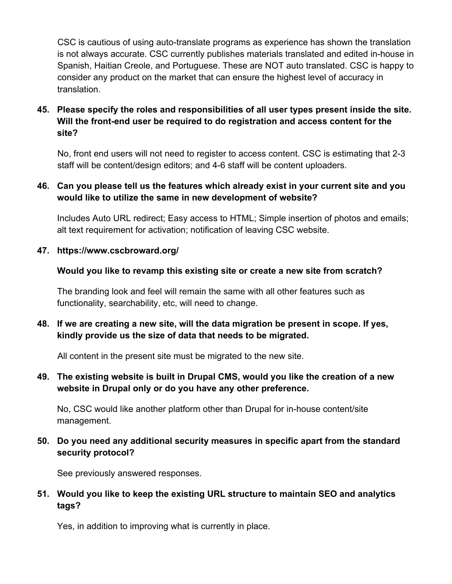CSC is cautious of using auto-translate programs as experience has shown the translation is not always accurate. CSC currently publishes materials translated and edited in-house in Spanish, Haitian Creole, and Portuguese. These are NOT auto translated. CSC is happy to consider any product on the market that can ensure the highest level of accuracy in translation.

# **45. Please specify the roles and responsibilities of all user types present inside the site. Will the front-end user be required to do registration and access content for the site?**

No, front end users will not need to register to access content. CSC is estimating that 2-3 staff will be content/design editors; and 4-6 staff will be content uploaders.

# **46. Can you please tell us the features which already exist in your current site and you would like to utilize the same in new development of website?**

Includes Auto URL redirect; Easy access to HTML; Simple insertion of photos and emails; alt text requirement for activation; notification of leaving CSC website.

# **47. https://www.cscbroward.org/**

# **Would you like to revamp this existing site or create a new site from scratch?**

The branding look and feel will remain the same with all other features such as functionality, searchability, etc, will need to change.

# **48. If we are creating a new site, will the data migration be present in scope. If yes, kindly provide us the size of data that needs to be migrated.**

All content in the present site must be migrated to the new site.

# **49. The existing website is built in Drupal CMS, would you like the creation of a new website in Drupal only or do you have any other preference.**

No, CSC would like another platform other than Drupal for in-house content/site management.

# **50. Do you need any additional security measures in specific apart from the standard security protocol?**

See previously answered responses.

# **51. Would you like to keep the existing URL structure to maintain SEO and analytics tags?**

Yes, in addition to improving what is currently in place.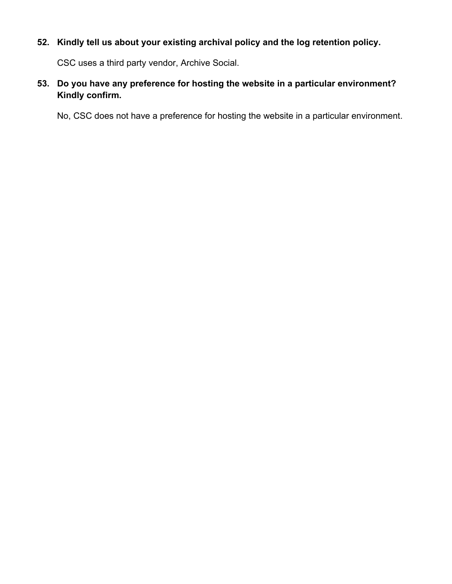# **52. Kindly tell us about your existing archival policy and the log retention policy.**

CSC uses a third party vendor, Archive Social.

# **53. Do you have any preference for hosting the website in a particular environment? Kindly confirm.**

No, CSC does not have a preference for hosting the website in a particular environment.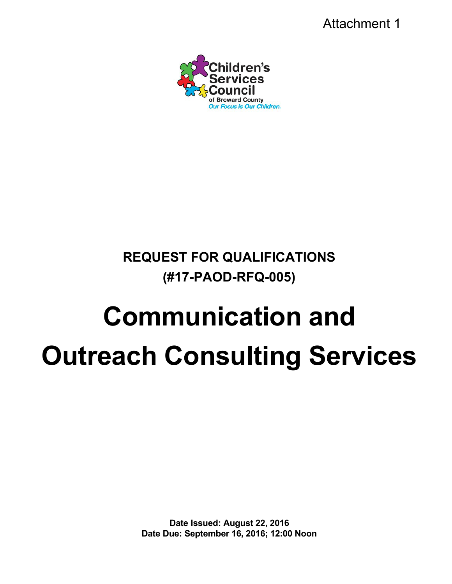Attachment 1



# **REQUEST FOR QUALIFICATIONS (#17-PAOD-RFQ-005)**

# **Communication and Outreach Consulting Services**

**Date Issued: August 22, 2016 Date Due: September 16, 2016; 12:00 Noon**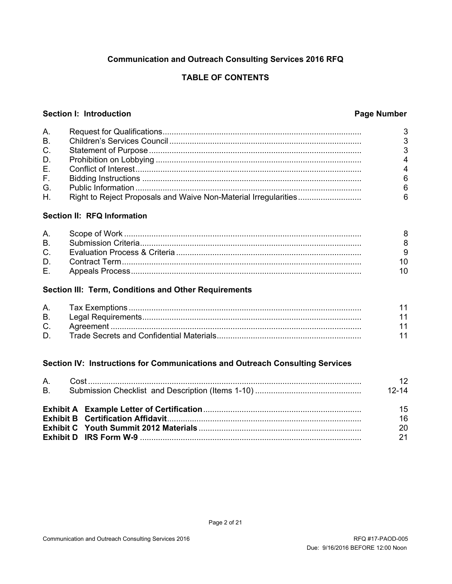# **Communication and Outreach Consulting Services 2016 RFQ**

# **TABLE OF CONTENTS**

#### Section I: Introduction

#### **Page Number**

|           | 3 |
|-----------|---|
| <b>B.</b> | 3 |
| $C_{1}$   | 3 |
| D.        |   |
|           |   |
| F.        |   |
| G.        |   |
| H.        |   |

#### Section II: RFQ Information

| A         |  |
|-----------|--|
| <b>B.</b> |  |
| $C_{1}$   |  |
| D.        |  |
| Е.        |  |

#### Section III: Term, Conditions and Other Requirements

| А.      |  |
|---------|--|
| B.      |  |
| $C_{1}$ |  |
| D.      |  |

#### Section IV: Instructions for Communications and Outreach Consulting Services

| A.             |  | 12 <sup>°</sup>      |
|----------------|--|----------------------|
| B <sub>1</sub> |  | $12 - 14$            |
|                |  | 15<br>16<br>20<br>21 |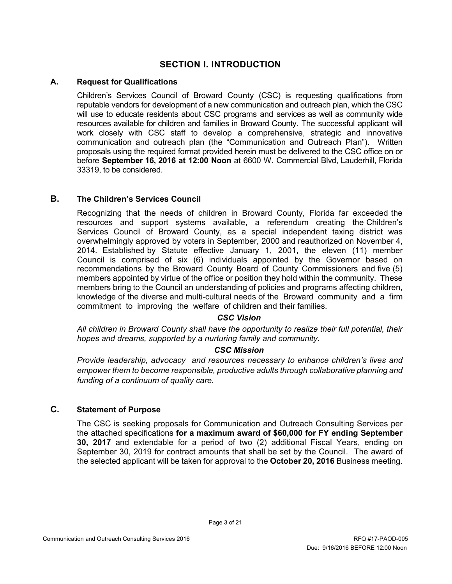# **SECTION I. INTRODUCTION**

#### **A. Request for Qualifications**

Children's Services Council of Broward County (CSC) is requesting qualifications from reputable vendors for development of a new communication and outreach plan, which the CSC will use to educate residents about CSC programs and services as well as community wide resources available for children and families in Broward County. The successful applicant will work closely with CSC staff to develop a comprehensive, strategic and innovative communication and outreach plan (the "Communication and Outreach Plan"). Written proposals using the required format provided herein must be delivered to the CSC office on or before **September 16, 2016 at 12:00 Noon** at 6600 W. Commercial Blvd, Lauderhill, Florida 33319, to be considered.

#### **B. The Children's Services Council**

Recognizing that the needs of children in Broward County, Florida far exceeded the resources and support systems available, a referendum creating the Children's Services Council of Broward County, as a special independent taxing district was overwhelmingly approved by voters in September, 2000 and reauthorized on November 4, 2014. Established by Statute effective January 1, 2001, the eleven (11) member Council is comprised of six (6) individuals appointed by the Governor based on recommendations by the Broward County Board of County Commissioners and five (5) members appointed by virtue of the office or position they hold within the community. These members bring to the Council an understanding of policies and programs affecting children, knowledge of the diverse and multi-cultural needs of the Broward community and a firm commitment to improving the welfare of children and their families.

#### *CSC Vision*

*All children in Broward County shall have the opportunity to realize their full potential, their hopes and dreams, supported by a nurturing family and community.*

#### *CSC Mission*

*Provide leadership, advocacy and resources necessary to enhance children's lives and empower them to become responsible, productive adults through collaborative planning and funding of a continuum of quality care.*

#### **C. Statement of Purpose**

The CSC is seeking proposals for Communication and Outreach Consulting Services per the attached specifications **for a maximum award of \$60,000 for FY ending September 30, 2017** and extendable for a period of two (2) additional Fiscal Years, ending on September 30, 2019 for contract amounts that shall be set by the Council. The award of the selected applicant will be taken for approval to the **October 20, 2016** Business meeting.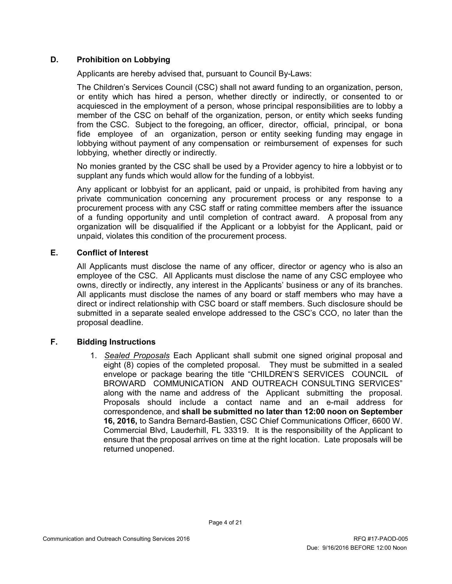#### **D. Prohibition on Lobbying**

Applicants are hereby advised that, pursuant to Council By-Laws:

The Children's Services Council (CSC) shall not award funding to an organization, person, or entity which has hired a person, whether directly or indirectly, or consented to or acquiesced in the employment of a person, whose principal responsibilities are to lobby a member of the CSC on behalf of the organization, person, or entity which seeks funding from the CSC. Subject to the foregoing, an officer, director, official, principal, or bona fide employee of an organization, person or entity seeking funding may engage in lobbying without payment of any compensation or reimbursement of expenses for such lobbying, whether directly or indirectly.

No monies granted by the CSC shall be used by a Provider agency to hire a lobbyist or to supplant any funds which would allow for the funding of a lobbyist.

Any applicant or lobbyist for an applicant, paid or unpaid, is prohibited from having any private communication concerning any procurement process or any response to a procurement process with any CSC staff or rating committee members after the issuance of a funding opportunity and until completion of contract award. A proposal from any organization will be disqualified if the Applicant or a lobbyist for the Applicant, paid or unpaid, violates this condition of the procurement process.

#### **E. Conflict of Interest**

All Applicants must disclose the name of any officer, director or agency who is also an employee of the CSC. All Applicants must disclose the name of any CSC employee who owns, directly or indirectly, any interest in the Applicants' business or any of its branches. All applicants must disclose the names of any board or staff members who may have a direct or indirect relationship with CSC board or staff members. Such disclosure should be submitted in a separate sealed envelope addressed to the CSC's CCO, no later than the proposal deadline.

#### **F. Bidding Instructions**

1. *Sealed Proposals* Each Applicant shall submit one signed original proposal and eight (8) copies of the completed proposal. They must be submitted in a sealed envelope or package bearing the title "CHILDREN'S SERVICES COUNCIL of BROWARD COMMUNICATION AND OUTREACH CONSULTING SERVICES" along with the name and address of the Applicant submitting the proposal. Proposals should include a contact name and an e-mail address for correspondence, and **shall be submitted no later than 12:00 noon on September 16, 2016,** to Sandra Bernard-Bastien, CSC Chief Communications Officer, 6600 W. Commercial Blvd, Lauderhill, FL 33319. It is the responsibility of the Applicant to ensure that the proposal arrives on time at the right location. Late proposals will be returned unopened.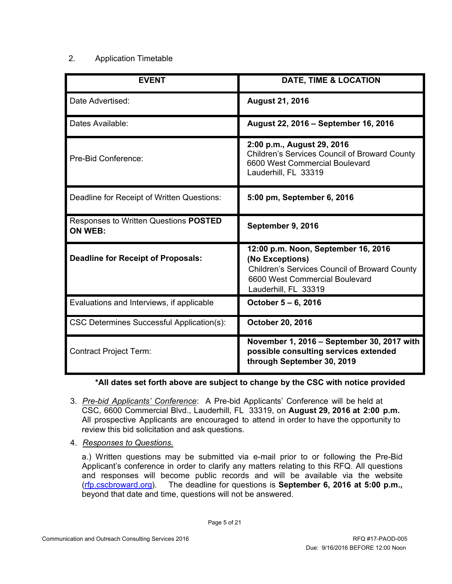#### 2. Application Timetable

| <b>EVENT</b>                                            | DATE, TIME & LOCATION                                                                                                                                                    |
|---------------------------------------------------------|--------------------------------------------------------------------------------------------------------------------------------------------------------------------------|
| Date Advertised:                                        | <b>August 21, 2016</b>                                                                                                                                                   |
| Dates Available:                                        | August 22, 2016 - September 16, 2016                                                                                                                                     |
| Pre-Bid Conference:                                     | 2:00 p.m., August 29, 2016<br><b>Children's Services Council of Broward County</b><br>6600 West Commercial Boulevard<br>Lauderhill, FL 33319                             |
| Deadline for Receipt of Written Questions:              | 5:00 pm, September 6, 2016                                                                                                                                               |
| Responses to Written Questions POSTED<br><b>ON WEB:</b> | September 9, 2016                                                                                                                                                        |
| <b>Deadline for Receipt of Proposals:</b>               | 12:00 p.m. Noon, September 16, 2016<br>(No Exceptions)<br><b>Children's Services Council of Broward County</b><br>6600 West Commercial Boulevard<br>Lauderhill, FL 33319 |
| Evaluations and Interviews, if applicable               | October 5 – 6, 2016                                                                                                                                                      |
| CSC Determines Successful Application(s):               | October 20, 2016                                                                                                                                                         |
| <b>Contract Project Term:</b>                           | November 1, 2016 - September 30, 2017 with<br>possible consulting services extended<br>through September 30, 2019                                                        |

#### **\*All dates set forth above are subject to change by the CSC with notice provided**

- 3. *Pre-bid Applicants' Conference*: A Pre-bid Applicants' Conference will be held at CSC, 6600 Commercial Blvd., Lauderhill, FL 33319, on **August 29, 2016 at 2:00 p.m.** All prospective Applicants are encouraged to attend in order to have the opportunity to review this bid solicitation and ask questions.
- 4. *Responses to Questions.*

a.) Written questions may be submitted via e-mail prior to or following the Pre-Bid Applicant's conference in order to clarify any matters relating to this RFQ. All questions and responses will become public records and will be available via the website [\(rfp.cscbroward.org\)](http://www.cscbroward.org/). The deadline for questions is **September 6, 2016 at 5:00 p.m.,** beyond that date and time, questions will not be answered.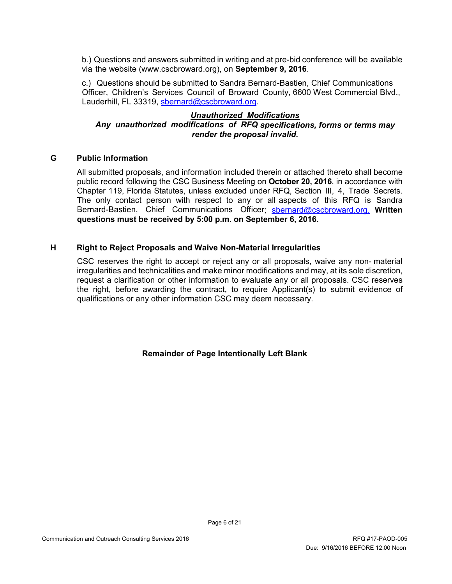b.) Questions and answers submitted in writing and at pre-bid conference will be available via the website (www.cscbroward.org), on **September 9, 2016**.

c.) Questions should be submitted to Sandra Bernard-Bastien, Chief Communications Officer, Children's Services Council of Broward County, 6600 West Commercial Blvd., Lauderhill, FL 33319, [sbernard@cscbroward.org.](mailto:sbernard@cscbroward.org)

#### *Unauthorized Modifications Any unauthorized modifications of RFQ specifications, forms or terms may render the proposal invalid.*

#### **G Public Information**

All submitted proposals, and information included therein or attached thereto shall become public record following the CSC Business Meeting on **October 20, 2016**, in accordance with Chapter 119, Florida Statutes, unless excluded under RFQ, Section III, 4, Trade Secrets. The only contact person with respect to any or all aspects of this RFQ is Sandra Bernard-Bastien, Chief Communications Officer; [sbernard@cscbroward.org.](mailto:sbernard@cscbroward.org) **Written questions must be received by 5:00 p.m. on September 6, 2016.** 

#### **H Right to Reject Proposals and Waive Non-Material Irregularities**

CSC reserves the right to accept or reject any or all proposals, waive any non- material irregularities and technicalities and make minor modifications and may, at its sole discretion, request a clarification or other information to evaluate any or all proposals. CSC reserves the right, before awarding the contract, to require Applicant(s) to submit evidence of qualifications or any other information CSC may deem necessary.

**Remainder of Page Intentionally Left Blank**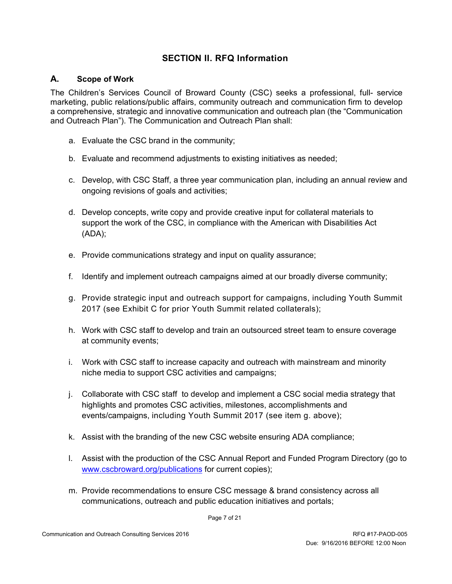# **SECTION II. RFQ Information**

#### **A. Scope of Work**

The Children's Services Council of Broward County (CSC) seeks a professional, full- service marketing, public relations/public affairs, community outreach and communication firm to develop a comprehensive, strategic and innovative communication and outreach plan (the "Communication and Outreach Plan"). The Communication and Outreach Plan shall:

- a. Evaluate the CSC brand in the community;
- b. Evaluate and recommend adjustments to existing initiatives as needed;
- c. Develop, with CSC Staff, a three year communication plan, including an annual review and ongoing revisions of goals and activities;
- d. Develop concepts, write copy and provide creative input for collateral materials to support the work of the CSC, in compliance with the American with Disabilities Act (ADA);
- e. Provide communications strategy and input on quality assurance;
- f. Identify and implement outreach campaigns aimed at our broadly diverse community;
- g. Provide strategic input and outreach support for campaigns, including Youth Summit 2017 (see Exhibit C for prior Youth Summit related collaterals);
- h. Work with CSC staff to develop and train an outsourced street team to ensure coverage at community events;
- i. Work with CSC staff to increase capacity and outreach with mainstream and minority niche media to support CSC activities and campaigns;
- j. Collaborate with CSC staff to develop and implement a CSC social media strategy that highlights and promotes CSC activities, milestones, accomplishments and events/campaigns, including Youth Summit 2017 (see item g. above);
- k. Assist with the branding of the new CSC website ensuring ADA compliance;
- l. Assist with the production of the CSC Annual Report and Funded Program Directory (go to [www.cscbroward.org/publications](http://www.cscbroward.org/publications) for current copies);
- m. Provide recommendations to ensure CSC message & brand consistency across all communications, outreach and public education initiatives and portals;

Page 7 of 21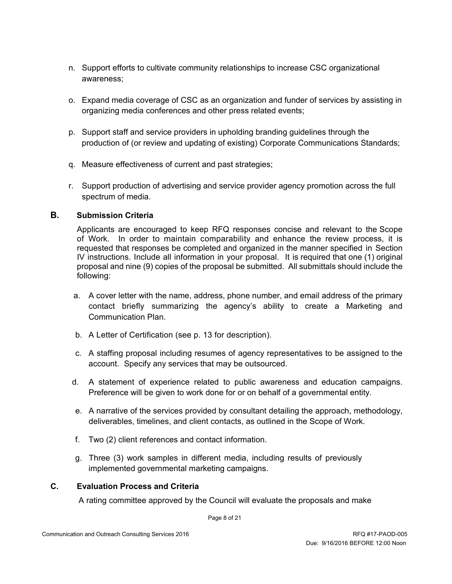- n. Support efforts to cultivate community relationships to increase CSC organizational awareness;
- o. Expand media coverage of CSC as an organization and funder of services by assisting in organizing media conferences and other press related events;
- p. Support staff and service providers in upholding branding guidelines through the production of (or review and updating of existing) Corporate Communications Standards;
- q. Measure effectiveness of current and past strategies;
- r. Support production of advertising and service provider agency promotion across the full spectrum of media.

#### **B. Submission Criteria**

Applicants are encouraged to keep RFQ responses concise and relevant to the Scope of Work. In order to maintain comparability and enhance the review process, it is requested that responses be completed and organized in the manner specified in Section IV instructions. Include all information in your proposal. It is required that one (1) original proposal and nine (9) copies of the proposal be submitted. All submittals should include the following:

- a. A cover letter with the name, address, phone number, and email address of the primary contact briefly summarizing the agency's ability to create a Marketing and Communication Plan.
- b. A Letter of Certification (see p. 13 for description).
- c. A staffing proposal including resumes of agency representatives to be assigned to the account. Specify any services that may be outsourced.
- d. A statement of experience related to public awareness and education campaigns. Preference will be given to work done for or on behalf of a governmental entity.
- e. A narrative of the services provided by consultant detailing the approach, methodology, deliverables, timelines, and client contacts, as outlined in the Scope of Work.
- f. Two (2) client references and contact information.
- g. Three (3) work samples in different media, including results of previously implemented governmental marketing campaigns.

#### **C. Evaluation Process and Criteria**

A rating committee approved by the Council will evaluate the proposals and make

Page 8 of 21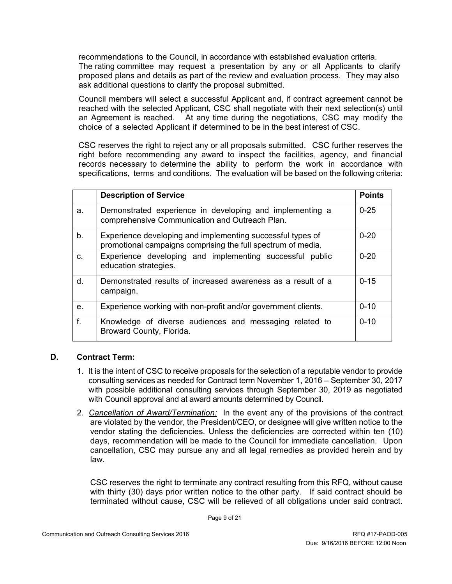recommendations to the Council, in accordance with established evaluation criteria. The rating committee may request a presentation by any or all Applicants to clarify proposed plans and details as part of the review and evaluation process. They may also ask additional questions to clarify the proposal submitted.

Council members will select a successful Applicant and, if contract agreement cannot be reached with the selected Applicant, CSC shall negotiate with their next selection(s) until an Agreement is reached. At any time during the negotiations, CSC may modify the choice of a selected Applicant if determined to be in the best interest of CSC.

CSC reserves the right to reject any or all proposals submitted. CSC further reserves the right before recommending any award to inspect the facilities, agency, and financial records necessary to determine the ability to perform the work in accordance with specifications, terms and conditions. The evaluation will be based on the following criteria:

|                | <b>Description of Service</b>                                                                                              | <b>Points</b> |
|----------------|----------------------------------------------------------------------------------------------------------------------------|---------------|
| a.             | Demonstrated experience in developing and implementing a<br>comprehensive Communication and Outreach Plan.                 | $0 - 25$      |
| b.             | Experience developing and implementing successful types of<br>promotional campaigns comprising the full spectrum of media. | $0 - 20$      |
| C.             | Experience developing and implementing successful public<br>education strategies.                                          | $0 - 20$      |
| d.             | Demonstrated results of increased awareness as a result of a<br>campaign.                                                  | $0 - 15$      |
| e <sub>1</sub> | Experience working with non-profit and/or government clients.                                                              | $0 - 10$      |
| f.             | Knowledge of diverse audiences and messaging related to<br>Broward County, Florida.                                        | $0 - 10$      |

#### **D. Contract Term:**

- 1. It is the intent of CSC to receive proposals for the selection of a reputable vendor to provide consulting services as needed for Contract term November 1, 2016 – September 30, 2017 with possible additional consulting services through September 30, 2019 as negotiated with Council approval and at award amounts determined by Council.
- 2. *Cancellation of Award/Termination:* In the event any of the provisions of the contract are violated by the vendor, the President/CEO, or designee will give written notice to the vendor stating the deficiencies. Unless the deficiencies are corrected within ten (10) days, recommendation will be made to the Council for immediate cancellation. Upon cancellation, CSC may pursue any and all legal remedies as provided herein and by law.

CSC reserves the right to terminate any contract resulting from this RFQ, without cause with thirty (30) days prior written notice to the other party. If said contract should be terminated without cause, CSC will be relieved of all obligations under said contract.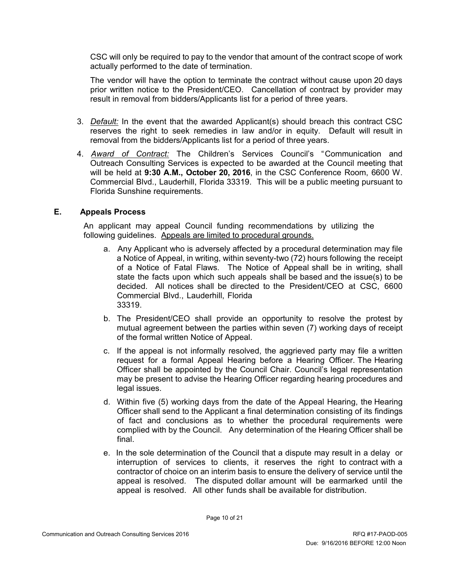CSC will only be required to pay to the vendor that amount of the contract scope of work actually performed to the date of termination.

The vendor will have the option to terminate the contract without cause upon 20 days prior written notice to the President/CEO. Cancellation of contract by provider may result in removal from bidders/Applicants list for a period of three years.

- 3. *Default:* In the event that the awarded Applicant(s) should breach this contract CSC reserves the right to seek remedies in law and/or in equity. Default will result in removal from the bidders/Applicants list for a period of three years.
- 4. *Award of Contract:* The Children's Services Council's "Communication and Outreach Consulting Services is expected to be awarded at the Council meeting that will be held at **9:30 A.M., October 20, 2016**, in the CSC Conference Room, 6600 W. Commercial Blvd., Lauderhill, Florida 33319. This will be a public meeting pursuant to Florida Sunshine requirements.

#### **E. Appeals Process**

An applicant may appeal Council funding recommendations by utilizing the following guidelines. Appeals are limited to procedural grounds.

- a. Any Applicant who is adversely affected by a procedural determination may file a Notice of Appeal, in writing, within seventy-two (72) hours following the receipt of a Notice of Fatal Flaws. The Notice of Appeal shall be in writing, shall state the facts upon which such appeals shall be based and the issue(s) to be decided. All notices shall be directed to the President/CEO at CSC, 6600 Commercial Blvd., Lauderhill, Florida 33319.
- b. The President/CEO shall provide an opportunity to resolve the protest by mutual agreement between the parties within seven (7) working days of receipt of the formal written Notice of Appeal.
- c. If the appeal is not informally resolved, the aggrieved party may file a written request for a formal Appeal Hearing before a Hearing Officer. The Hearing Officer shall be appointed by the Council Chair. Council's legal representation may be present to advise the Hearing Officer regarding hearing procedures and legal issues.
- d. Within five (5) working days from the date of the Appeal Hearing, the Hearing Officer shall send to the Applicant a final determination consisting of its findings of fact and conclusions as to whether the procedural requirements were complied with by the Council. Any determination of the Hearing Officer shall be final.
- e. In the sole determination of the Council that a dispute may result in a delay or interruption of services to clients, it reserves the right to contract with a contractor of choice on an interim basis to ensure the delivery of service until the appeal is resolved. The disputed dollar amount will be earmarked until the appeal is resolved. All other funds shall be available for distribution.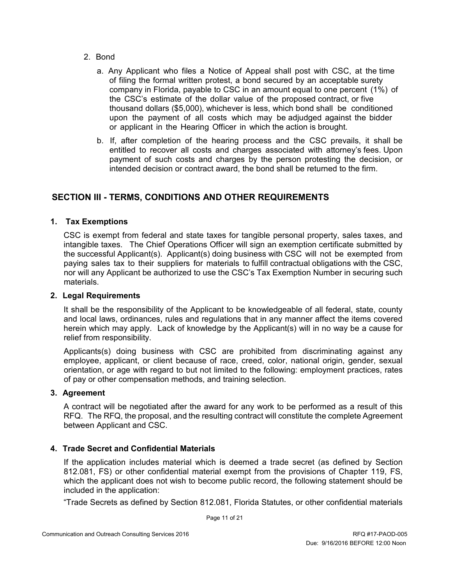- 2. Bond
	- a. Any Applicant who files a Notice of Appeal shall post with CSC, at the time of filing the formal written protest, a bond secured by an acceptable surety company in Florida, payable to CSC in an amount equal to one percent (1%) of the CSC's estimate of the dollar value of the proposed contract, or five thousand dollars (\$5,000), whichever is less, which bond shall be conditioned upon the payment of all costs which may be adjudged against the bidder or applicant in the Hearing Officer in which the action is brought.
	- b. If, after completion of the hearing process and the CSC prevails, it shall be entitled to recover all costs and charges associated with attorney's fees. Upon payment of such costs and charges by the person protesting the decision, or intended decision or contract award, the bond shall be returned to the firm.

# **SECTION III - TERMS, CONDITIONS AND OTHER REQUIREMENTS**

#### **1. Tax Exemptions**

CSC is exempt from federal and state taxes for tangible personal property, sales taxes, and intangible taxes. The Chief Operations Officer will sign an exemption certificate submitted by the successful Applicant(s). Applicant(s) doing business with CSC will not be exempted from paying sales tax to their suppliers for materials to fulfill contractual obligations with the CSC, nor will any Applicant be authorized to use the CSC's Tax Exemption Number in securing such materials.

#### **2. Legal Requirements**

It shall be the responsibility of the Applicant to be knowledgeable of all federal, state, county and local laws, ordinances, rules and regulations that in any manner affect the items covered herein which may apply. Lack of knowledge by the Applicant(s) will in no way be a cause for relief from responsibility.

Applicants(s) doing business with CSC are prohibited from discriminating against any employee, applicant, or client because of race, creed, color, national origin, gender, sexual orientation, or age with regard to but not limited to the following: employment practices, rates of pay or other compensation methods, and training selection.

#### **3. Agreement**

A contract will be negotiated after the award for any work to be performed as a result of this RFQ. The RFQ, the proposal, and the resulting contract will constitute the complete Agreement between Applicant and CSC.

#### **4. Trade Secret and Confidential Materials**

If the application includes material which is deemed a trade secret (as defined by Section 812.081, FS) or other confidential material exempt from the provisions of Chapter 119, FS, which the applicant does not wish to become public record, the following statement should be included in the application:

"Trade Secrets as defined by Section 812.081, Florida Statutes, or other confidential materials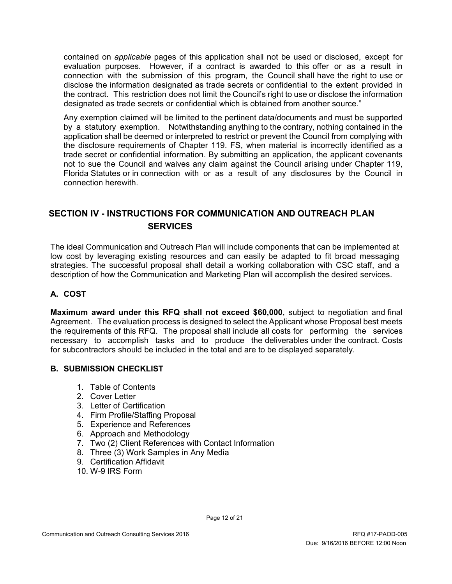contained on *applicable* pages of this application shall not be used or disclosed, except for evaluation purposes. However, if a contract is awarded to this offer or as a result in connection with the submission of this program, the Council shall have the right to use or disclose the information designated as trade secrets or confidential to the extent provided in the contract. This restriction does not limit the Council's right to use or disclose the information designated as trade secrets or confidential which is obtained from another source."

Any exemption claimed will be limited to the pertinent data/documents and must be supported by a statutory exemption. Notwithstanding anything to the contrary, nothing contained in the application shall be deemed or interpreted to restrict or prevent the Council from complying with the disclosure requirements of Chapter 119. FS, when material is incorrectly identified as a trade secret or confidential information. By submitting an application, the applicant covenants not to sue the Council and waives any claim against the Council arising under Chapter 119, Florida Statutes or in connection with or as a result of any disclosures by the Council in connection herewith.

# **SECTION IV - INSTRUCTIONS FOR COMMUNICATION AND OUTREACH PLAN SERVICES**

The ideal Communication and Outreach Plan will include components that can be implemented at low cost by leveraging existing resources and can easily be adapted to fit broad messaging strategies. The successful proposal shall detail a working collaboration with CSC staff, and a description of how the Communication and Marketing Plan will accomplish the desired services.

#### **A. COST**

**Maximum award under this RFQ shall not exceed \$60,000**, subject to negotiation and final Agreement. The evaluation process is designed to select the Applicant whose Proposal best meets the requirements of this RFQ. The proposal shall include all costs for performing the services necessary to accomplish tasks and to produce the deliverables under the contract. Costs for subcontractors should be included in the total and are to be displayed separately.

# **B. SUBMISSION CHECKLIST**

- 1. Table of Contents
- 2. Cover Letter
- 3. Letter of Certification
- 4. Firm Profile/Staffing Proposal
- 5. Experience and References
- 6. Approach and Methodology
- 7. Two (2) Client References with Contact Information
- 8. Three (3) Work Samples in Any Media
- 9. Certification Affidavit
- 10. W-9 IRS Form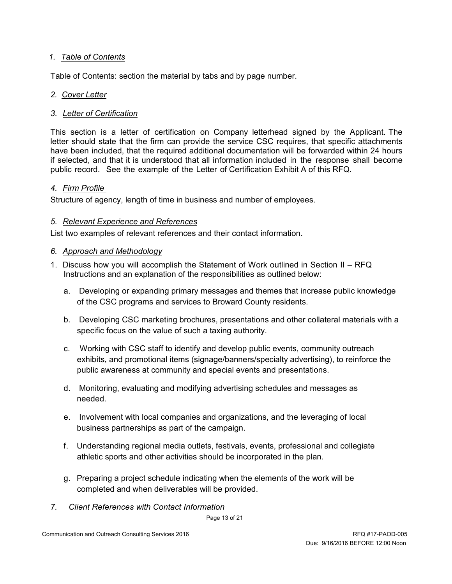#### *1. Table of Contents*

Table of Contents: section the material by tabs and by page number.

#### *2. Cover Letter*

#### *3. Letter of Certification*

This section is a letter of certification on Company letterhead signed by the Applicant. The letter should state that the firm can provide the service CSC requires, that specific attachments have been included, that the required additional documentation will be forwarded within 24 hours if selected, and that it is understood that all information included in the response shall become public record. See the example of the Letter of Certification Exhibit A of this RFQ.

#### *4. Firm Profile*

Structure of agency, length of time in business and number of employees.

#### *5. Relevant Experience and References*

List two examples of relevant references and their contact information.

#### *6. Approach and Methodology*

- 1. Discuss how you will accomplish the Statement of Work outlined in Section II RFQ Instructions and an explanation of the responsibilities as outlined below:
	- a. Developing or expanding primary messages and themes that increase public knowledge of the CSC programs and services to Broward County residents.
	- b. Developing CSC marketing brochures, presentations and other collateral materials with a specific focus on the value of such a taxing authority.
	- c. Working with CSC staff to identify and develop public events, community outreach exhibits, and promotional items (signage/banners/specialty advertising), to reinforce the public awareness at community and special events and presentations.
	- d. Monitoring, evaluating and modifying advertising schedules and messages as needed.
	- e. Involvement with local companies and organizations, and the leveraging of local business partnerships as part of the campaign.
	- f. Understanding regional media outlets, festivals, events, professional and collegiate athletic sports and other activities should be incorporated in the plan.
	- g. Preparing a project schedule indicating when the elements of the work will be completed and when deliverables will be provided.
- *7. Client References with Contact Information*

Page 13 of 21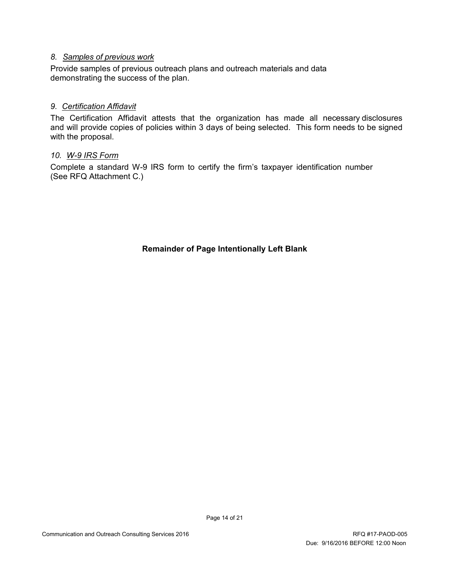#### *8. Samples of previous work*

Provide samples of previous outreach plans and outreach materials and data demonstrating the success of the plan.

#### *9. Certification Affidavit*

The Certification Affidavit attests that the organization has made all necessary disclosures and will provide copies of policies within 3 days of being selected. This form needs to be signed with the proposal.

#### *10. W-9 IRS Form*

Complete a standard W-9 IRS form to certify the firm's taxpayer identification number (See RFQ Attachment C.)

**Remainder of Page Intentionally Left Blank**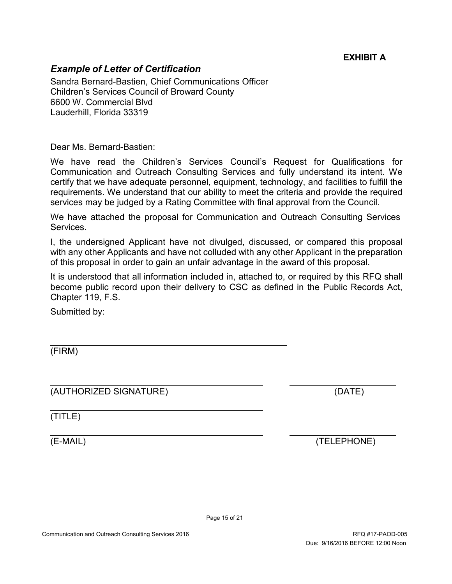# **EXHIBIT A**

# *Example of Letter of Certification*

Sandra Bernard-Bastien, Chief Communications Officer Children's Services Council of Broward County 6600 W. Commercial Blvd Lauderhill, Florida 33319

Dear Ms. Bernard-Bastien:

We have read the Children's Services Council's Request for Qualifications for Communication and Outreach Consulting Services and fully understand its intent. We certify that we have adequate personnel, equipment, technology, and facilities to fulfill the requirements. We understand that our ability to meet the criteria and provide the required services may be judged by a Rating Committee with final approval from the Council.

We have attached the proposal for Communication and Outreach Consulting Services **Services** 

I, the undersigned Applicant have not divulged, discussed, or compared this proposal with any other Applicants and have not colluded with any other Applicant in the preparation of this proposal in order to gain an unfair advantage in the award of this proposal.

It is understood that all information included in, attached to, or required by this RFQ shall become public record upon their delivery to CSC as defined in the Public Records Act, Chapter 119, F.S.

Submitted by:

(FIRM)

(AUTHORIZED SIGNATURE) (DATE)

(TITLE)

(E-MAIL) (TELEPHONE)

Page 15 of 21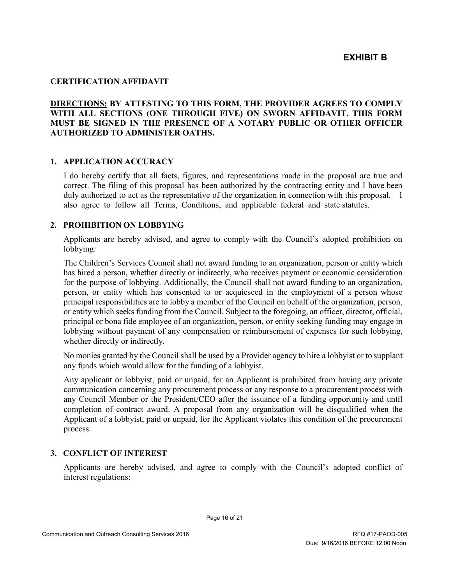#### **CERTIFICATION AFFIDAVIT**

#### **DIRECTIONS: BY ATTESTING TO THIS FORM, THE PROVIDER AGREES TO COMPLY WITH ALL SECTIONS (ONE THROUGH FIVE) ON SWORN AFFIDAVIT. THIS FORM MUST BE SIGNED IN THE PRESENCE OF A NOTARY PUBLIC OR OTHER OFFICER AUTHORIZED TO ADMINISTER OATHS.**

#### **1. APPLICATION ACCURACY**

I do hereby certify that all facts, figures, and representations made in the proposal are true and correct. The filing of this proposal has been authorized by the contracting entity and I have been duly authorized to act as the representative of the organization in connection with this proposal. I also agree to follow all Terms, Conditions, and applicable federal and state statutes.

#### **2. PROHIBITION ON LOBBYING**

Applicants are hereby advised, and agree to comply with the Council's adopted prohibition on lobbying:

The Children's Services Council shall not award funding to an organization, person or entity which has hired a person, whether directly or indirectly, who receives payment or economic consideration for the purpose of lobbying. Additionally, the Council shall not award funding to an organization, person, or entity which has consented to or acquiesced in the employment of a person whose principal responsibilities are to lobby a member of the Council on behalf of the organization, person, or entity which seeks funding from the Council. Subject to the foregoing, an officer, director, official, principal or bona fide employee of an organization, person, or entity seeking funding may engage in lobbying without payment of any compensation or reimbursement of expenses for such lobbying, whether directly or indirectly.

No monies granted by the Council shall be used by a Provider agency to hire a lobbyist or to supplant any funds which would allow for the funding of a lobbyist.

Any applicant or lobbyist, paid or unpaid, for an Applicant is prohibited from having any private communication concerning any procurement process or any response to a procurement process with any Council Member or the President/CEO after the issuance of a funding opportunity and until completion of contract award. A proposal from any organization will be disqualified when the Applicant of a lobbyist, paid or unpaid, for the Applicant violates this condition of the procurement process.

#### **3. CONFLICT OF INTEREST**

Applicants are hereby advised, and agree to comply with the Council's adopted conflict of interest regulations: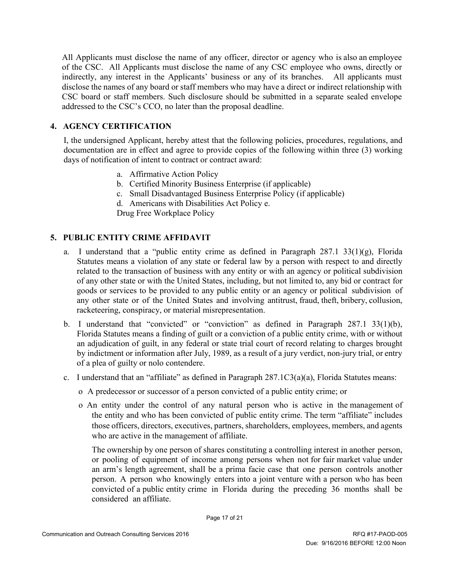All Applicants must disclose the name of any officer, director or agency who is also an employee of the CSC. All Applicants must disclose the name of any CSC employee who owns, directly or indirectly, any interest in the Applicants' business or any of its branches. All applicants must disclose the names of any board or staff members who may have a direct or indirect relationship with CSC board or staff members. Such disclosure should be submitted in a separate sealed envelope addressed to the CSC's CCO, no later than the proposal deadline.

#### **4. AGENCY CERTIFICATION**

I, the undersigned Applicant, hereby attest that the following policies, procedures, regulations, and documentation are in effect and agree to provide copies of the following within three (3) working days of notification of intent to contract or contract award:

- a. Affirmative Action Policy
- b. Certified Minority Business Enterprise (if applicable)
- c. Small Disadvantaged Business Enterprise Policy (if applicable)
- d. Americans with Disabilities Act Policy e.

Drug Free Workplace Policy

#### **5. PUBLIC ENTITY CRIME AFFIDAVIT**

- a. I understand that a "public entity crime as defined in Paragraph  $287.1 \frac{33(1)(g)}{g}$ , Florida Statutes means a violation of any state or federal law by a person with respect to and directly related to the transaction of business with any entity or with an agency or political subdivision of any other state or with the United States, including, but not limited to, any bid or contract for goods or services to be provided to any public entity or an agency or political subdivision of any other state or of the United States and involving antitrust, fraud, theft, bribery, collusion, racketeering, conspiracy, or material misrepresentation.
- b. I understand that "convicted" or "conviction" as defined in Paragraph 287.1 33(1)(b), Florida Statutes means a finding of guilt or a conviction of a public entity crime, with or without an adjudication of guilt, in any federal or state trial court of record relating to charges brought by indictment or information after July, 1989, as a result of a jury verdict, non-jury trial, or entry of a plea of guilty or nolo contendere.
- c. I understand that an "affiliate" as defined in Paragraph 287.1C3(a)(a), Florida Statutes means:
	- o A predecessor or successor of a person convicted of a public entity crime; or
	- o An entity under the control of any natural person who is active in the management of the entity and who has been convicted of public entity crime. The term "affiliate" includes those officers, directors, executives, partners, shareholders, employees, members, and agents who are active in the management of affiliate.

The ownership by one person of shares constituting a controlling interest in another person, or pooling of equipment of income among persons when not for fair market value under an arm's length agreement, shall be a prima facie case that one person controls another person. A person who knowingly enters into a joint venture with a person who has been convicted of a public entity crime in Florida during the preceding 36 months shall be considered an affiliate.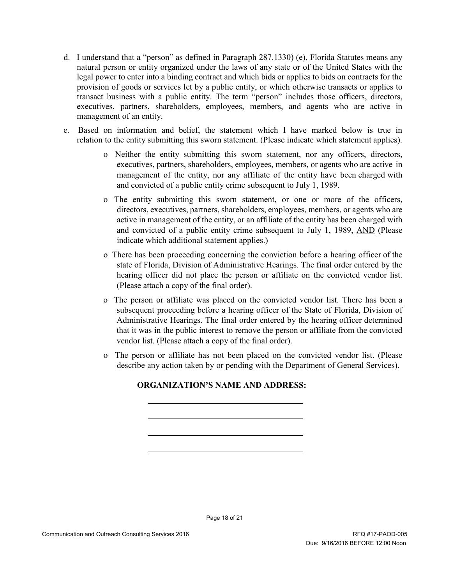- d. I understand that a "person" as defined in Paragraph 287.1330) (e), Florida Statutes means any natural person or entity organized under the laws of any state or of the United States with the legal power to enter into a binding contract and which bids or applies to bids on contracts for the provision of goods or services let by a public entity, or which otherwise transacts or applies to transact business with a public entity. The term "person" includes those officers, directors, executives, partners, shareholders, employees, members, and agents who are active in management of an entity.
- e. Based on information and belief, the statement which I have marked below is true in relation to the entity submitting this sworn statement. (Please indicate which statement applies).
	- o Neither the entity submitting this sworn statement, nor any officers, directors, executives, partners, shareholders, employees, members, or agents who are active in management of the entity, nor any affiliate of the entity have been charged with and convicted of a public entity crime subsequent to July 1, 1989.
	- o The entity submitting this sworn statement, or one or more of the officers, directors, executives, partners, shareholders, employees, members, or agents who are active in management of the entity, or an affiliate of the entity has been charged with and convicted of a public entity crime subsequent to July 1, 1989, AND (Please indicate which additional statement applies.)
	- o There has been proceeding concerning the conviction before a hearing officer of the state of Florida, Division of Administrative Hearings. The final order entered by the hearing officer did not place the person or affiliate on the convicted vendor list. (Please attach a copy of the final order).
	- o The person or affiliate was placed on the convicted vendor list. There has been a subsequent proceeding before a hearing officer of the State of Florida, Division of Administrative Hearings. The final order entered by the hearing officer determined that it was in the public interest to remove the person or affiliate from the convicted vendor list. (Please attach a copy of the final order).
	- o The person or affiliate has not been placed on the convicted vendor list. (Please describe any action taken by or pending with the Department of General Services).

# **ORGANIZATION'S NAME AND ADDRESS:**

Page 18 of 21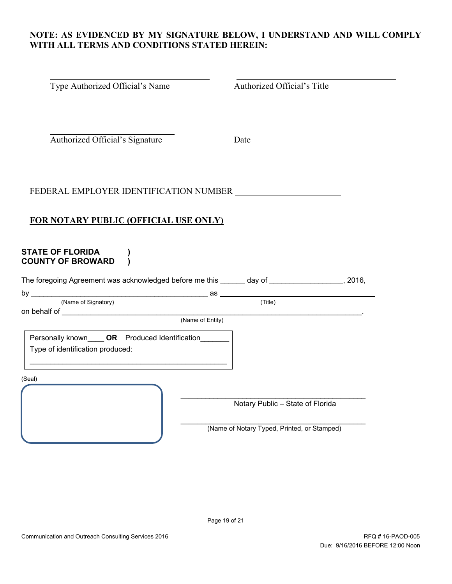#### **NOTE: AS EVIDENCED BY MY SIGNATURE BELOW, I UNDERSTAND AND WILL COMPLY WITH ALL TERMS AND CONDITIONS STATED HEREIN:**

| Type Authorized Official's Name                                                                                                                       | Authorized Official's Title      |
|-------------------------------------------------------------------------------------------------------------------------------------------------------|----------------------------------|
| Authorized Official's Signature                                                                                                                       | Date                             |
| FEDERAL EMPLOYER IDENTIFICATION NUMBER                                                                                                                |                                  |
| <b>FOR NOTARY PUBLIC (OFFICIAL USE ONLY)</b>                                                                                                          |                                  |
| <b>STATE OF FLORIDA</b><br><b>COUNTY OF BROWARD</b><br>The foregoing Agreement was acknowledged before me this ______ day of _________________, 2016, |                                  |
|                                                                                                                                                       |                                  |
|                                                                                                                                                       |                                  |
|                                                                                                                                                       |                                  |
| Personally known_____ OR    Produced Identification_______<br>Type of identification produced:                                                        |                                  |
| (Seal)                                                                                                                                                |                                  |
|                                                                                                                                                       | Notary Public - State of Florida |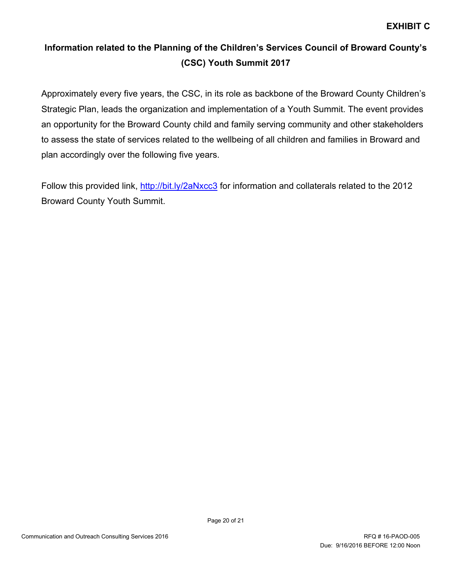# **Information related to the Planning of the Children's Services Council of Broward County's (CSC) Youth Summit 2017**

Approximately every five years, the CSC, in its role as backbone of the Broward County Children's Strategic Plan, leads the organization and implementation of a Youth Summit. The event provides an opportunity for the Broward County child and family serving community and other stakeholders to assess the state of services related to the wellbeing of all children and families in Broward and plan accordingly over the following five years.

Follow this provided link,<http://bit.ly/2aNxcc3> for information and collaterals related to the 2012 Broward County Youth Summit.